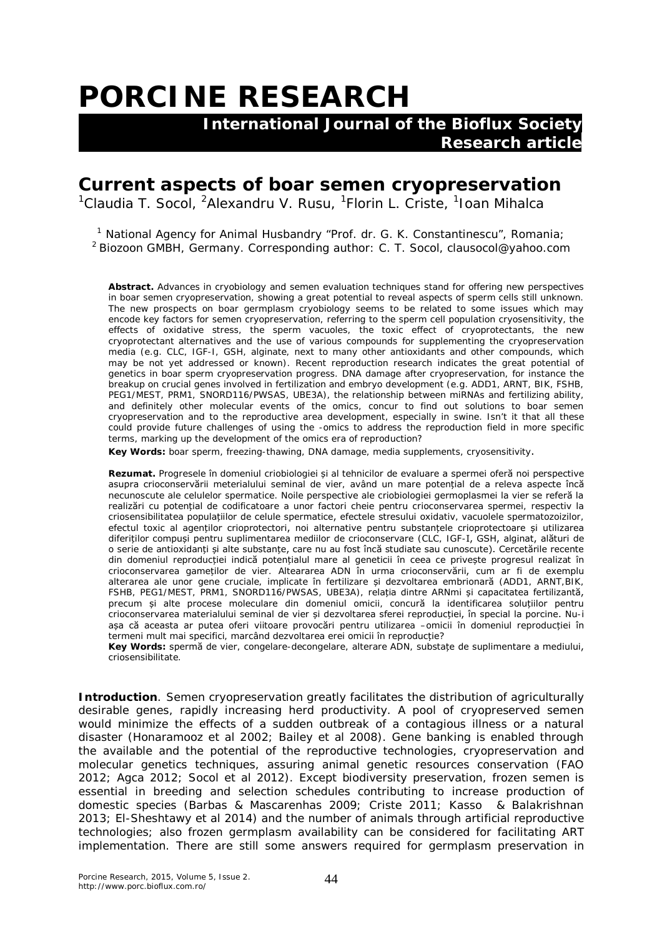## **PORCINE RESEARCH**

 **International Journal of the Bioflux Society Research article**

## **Current aspects of boar semen cryopreservation**

<sup>1</sup>Claudia T. Socol, <sup>2</sup>Alexandru V. Rusu, <sup>1</sup>Florin L. Criste, <sup>1</sup>Ioan Mihalca

<sup>1</sup> National Agency for Animal Husbandry "Prof. dr. G. K. Constantinescu", Romania;  $2$  Biozoon GMBH, Germany. Corresponding author: C. T. Socol, clausocol@yahoo.com

**Abstract.** Advances in cryobiology and semen evaluation techniques stand for offering new perspectives in boar semen cryopreservation, showing a great potential to reveal aspects of sperm cells still unknown. The new prospects on boar germplasm cryobiology seems to be related to some issues which may encode key factors for semen cryopreservation, referring to the sperm cell population cryosensitivity, the effects of oxidative stress, the sperm vacuoles, the toxic effect of cryoprotectants, the new cryoprotectant alternatives and the use of various compounds for supplementing the cryopreservation media (e.g. CLC, IGF-I, GSH, alginate, next to many other antioxidants and other compounds, which may be not yet addressed or known). Recent reproduction research indicates the great potential of genetics in boar sperm cryopreservation progress. DNA damage after cryopreservation, for instance the breakup on crucial genes involved in fertilization and embryo development (e.g. ADD1, ARNT, BIK, FSHB, PEG1/MEST, PRM1, SNORD116/PWSAS, UBE3A), the relationship between miRNAs and fertilizing ability, and definitely other molecular events of the omics, concur to find out solutions to boar semen cryopreservation and to the reproductive area development, especially in swine. Isn't it that all these could provide future challenges of using the -omics to address the reproduction field in more specific terms, marking up the development of the omics era of reproduction?

**Key Words:** boar sperm, freezing-thawing, DNA damage, media supplements, cryosensitivity.

**Rezumat.** Progresele în domeniul criobiologiei și al tehnicilor de evaluare a spermei oferă noi perspective asupra crioconservării meterialului seminal de vier, având un mare potențial de a releva aspecte încă necunoscute ale celulelor spermatice. Noile perspective ale criobiologiei germoplasmei la vier se referă la realizări cu potențial de codificatoare a unor factori cheie pentru crioconservarea spermei, respectiv la criosensibilitatea populațiilor de celule spermatice, efectele stresului oxidativ, vacuolele spermatozoizilor, efectul toxic al agenților crioprotectori, noi alternative pentru substanțele crioprotectoare și utilizarea diferiților compuși pentru suplimentarea mediilor de crioconservare (CLC, IGF-I, GSH, alginat, alături de o serie de antioxidanți și alte substanțe, care nu au fost încă studiate sau cunoscute). Cercetările recente din domeniul reproducției indică potențialul mare al geneticii în ceea ce privește progresul realizat în crioconservarea gameților de vier. Alteararea ADN în urma crioconservării, cum ar fi de exemplu alterarea ale unor gene cruciale, implicate în fertilizare și dezvoltarea embrionară (ADD1, ARNT,BIK, FSHB, PEG1/MEST, PRM1, SNORD116/PWSAS, UBE3A), relația dintre ARNmi și capacitatea fertilizantă, precum și alte procese moleculare din domeniul omicii, concură la identificarea soluțiilor pentru crioconservarea materialului seminal de vier și dezvoltarea sferei reproducției, în special la porcine. Nu-i așa că aceasta ar putea oferi viitoare provocări pentru utilizarea –omicii în domeniul reproducției în termeni mult mai specifici, marcând dezvoltarea erei omicii în reproducție?

**Key Words:** spermă de vier, congelare-decongelare, alterare ADN, substațe de suplimentare a mediului, criosensibilitate.

**Introduction**. Semen cryopreservation greatly facilitates the distribution of agriculturally desirable genes, rapidly increasing herd productivity. A pool of cryopreserved semen would minimize the effects of a sudden outbreak of a contagious illness or a natural disaster (Honaramooz et al 2002; Bailey et al 2008). Gene banking is enabled through the available and the potential of the reproductive technologies, cryopreservation and molecular genetics techniques, assuring animal genetic resources conservation (FAO 2012; Agca 2012; Socol et al 2012). Except biodiversity preservation, frozen semen is essential in breeding and selection schedules contributing to increase production of domestic species (Barbas & Mascarenhas 2009; Criste 2011; Kasso & Balakrishnan 2013; El-Sheshtawy et al 2014) and the number of animals through artificial reproductive technologies; also frozen germplasm availability can be considered for facilitating ART implementation. There are still some answers required for germplasm preservation in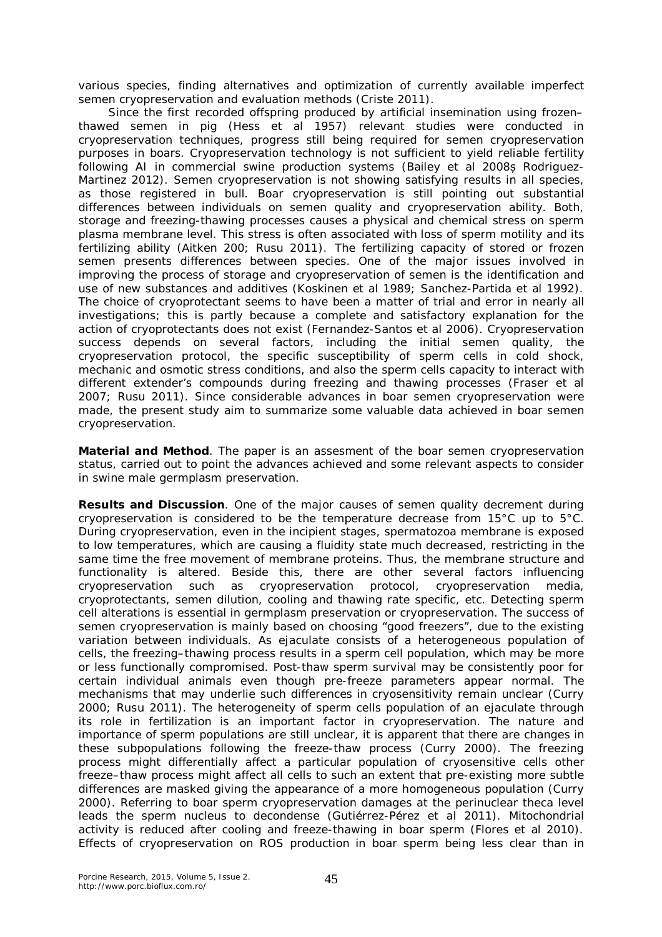various species, finding alternatives and optimization of currently available imperfect semen cryopreservation and evaluation methods (Criste 2011).

Since the first recorded offspring produced by artificial insemination using frozen– thawed semen in pig (Hess et al 1957*)* relevant studies were conducted in cryopreservation techniques, progress still being required for semen cryopreservation purposes in boars. Cryopreservation technology is not sufficient to yield reliable fertility following AI in commercial swine production systems (Bailey et al 2008s Rodriguez-Martinez 2012). Semen cryopreservation is not showing satisfying results in all species, as those registered in bull. Boar cryopreservation is still pointing out substantial differences between individuals on semen quality and cryopreservation ability. Both, storage and freezing-thawing processes causes a physical and chemical stress on sperm plasma membrane level. This stress is often associated with loss of sperm motility and its fertilizing ability (Aitken 200; Rusu 2011). The fertilizing capacity of stored or frozen semen presents differences between species. One of the major issues involved in improving the process of storage and cryopreservation of semen is the identification and use of new substances and additives (Koskinen et al 1989; Sanchez-Partida et al 1992). The choice of cryoprotectant seems to have been a matter of trial and error in nearly all investigations; this is partly because a complete and satisfactory explanation for the action of cryoprotectants does not exist (Fernandez-Santos et al 2006). Cryopreservation success depends on several factors, including the initial semen quality, the cryopreservation protocol, the specific susceptibility of sperm cells in cold shock, mechanic and osmotic stress conditions, and also the sperm cells capacity to interact with different extender's compounds during freezing and thawing processes (Fraser et al 2007; Rusu 2011). Since considerable advances in boar semen cryopreservation were made, the present study aim to summarize some valuable data achieved in boar semen cryopreservation.

**Material and Method**. The paper is an assesment of the boar semen cryopreservation status, carried out to point the advances achieved and some relevant aspects to consider in swine male germplasm preservation.

**Results and Discussion**. One of the major causes of semen quality decrement during cryopreservation is considered to be the temperature decrease from 15°C up to 5°C. During cryopreservation, even in the incipient stages, spermatozoa membrane is exposed to low temperatures, which are causing a fluidity state much decreased, restricting in the same time the free movement of membrane proteins. Thus, the membrane structure and functionality is altered. Beside this, there are other several factors influencing cryopreservation such as cryopreservation protocol, cryopreservation media, cryoprotectants, semen dilution, cooling and thawing rate specific, etc. Detecting sperm cell alterations is essential in germplasm preservation or cryopreservation. The success of semen cryopreservation is mainly based on choosing "good freezers", due to the existing variation between individuals. As ejaculate consists of a heterogeneous population of cells, the freezing–thawing process results in a sperm cell population, which may be more or less functionally compromised. Post-thaw sperm survival may be consistently poor for certain individual animals even though pre-freeze parameters appear normal. The mechanisms that may underlie such differences in cryosensitivity remain unclear (Curry 2000; Rusu 2011). The heterogeneity of sperm cells population of an ejaculate through its role in fertilization is an important factor in cryopreservation. The nature and importance of sperm populations are still unclear, it is apparent that there are changes in these subpopulations following the freeze-thaw process (Curry 2000). The freezing process might differentially affect a particular population of cryosensitive cells other freeze–thaw process might affect all cells to such an extent that pre-existing more subtle differences are masked giving the appearance of a more homogeneous population (Curry 2000). Referring to boar sperm cryopreservation damages at the perinuclear theca level leads the sperm nucleus to decondense (Gutiérrez-Pérez et al 2011). Mitochondrial activity is reduced after cooling and freeze-thawing in boar sperm (Flores et al 2010). Effects of cryopreservation on ROS production in boar sperm being less clear than in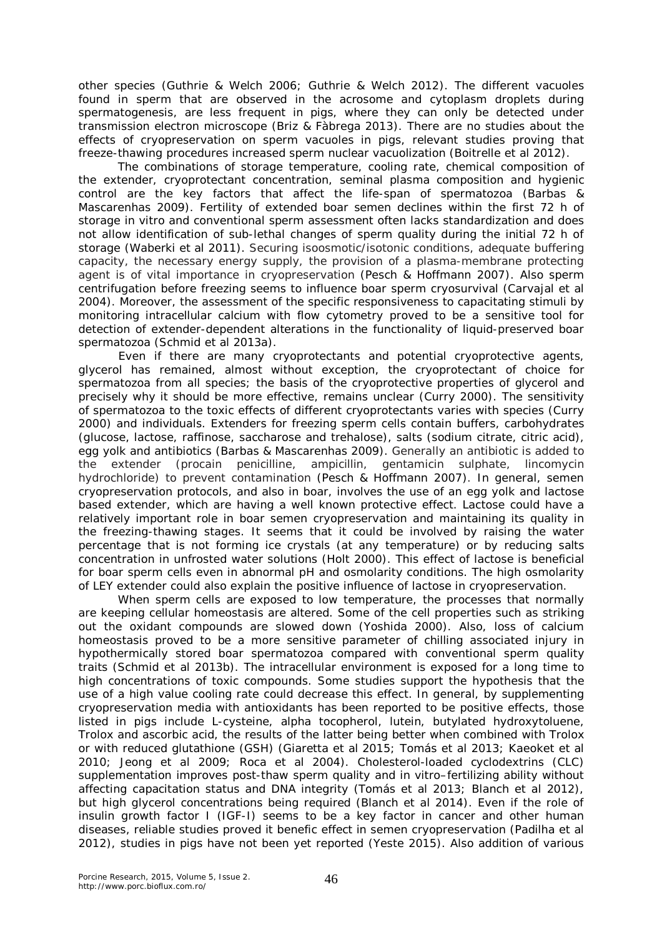other species (Guthrie & Welch 2006; Guthrie & Welch 2012). The different vacuoles found in sperm that are observed in the acrosome and cytoplasm droplets during spermatogenesis, are less frequent in pigs, where they can only be detected under transmission electron microscope (Briz & Fàbrega 2013). There are no studies about the effects of cryopreservation on sperm vacuoles in pigs, relevant studies proving that freeze-thawing procedures increased sperm nuclear vacuolization (Boitrelle et al 2012).

The combinations of storage temperature, cooling rate, chemical composition of the extender, cryoprotectant concentration, seminal plasma composition and hygienic control are the key factors that affect the life-span of spermatozoa (Barbas & Mascarenhas 2009). Fertility of extended boar semen declines within the first 72 h of storage in vitro and conventional sperm assessment often lacks standardization and does not allow identification of sub-lethal changes of sperm quality during the initial 72 h of storage (Waberki et al 2011). Securing isoosmotic/isotonic conditions, adequate buffering capacity, the necessary energy supply, the provision of a plasma-membrane protecting agent is of vital importance in cryopreservation (Pesch & Hoffmann 2007). Also sperm centrifugation before freezing seems to influence boar sperm cryosurvival (Carvajal et al 2004). Moreover, the assessment of the specific responsiveness to capacitating stimuli by monitoring intracellular calcium with flow cytometry proved to be a sensitive tool for detection of extender-dependent alterations in the functionality of liquid-preserved boar spermatozoa (Schmid et al 2013a).

Even if there are many cryoprotectants and potential cryoprotective agents, glycerol has remained, almost without exception, the cryoprotectant of choice for spermatozoa from all species; the basis of the cryoprotective properties of glycerol and precisely why it should be more effective, remains unclear (Curry 2000). The sensitivity of spermatozoa to the toxic effects of different cryoprotectants varies with species (Curry 2000) and individuals. Extenders for freezing sperm cells contain buffers, carbohydrates (glucose, lactose, raffinose, saccharose and trehalose), salts (sodium citrate, citric acid), egg yolk and antibiotics (Barbas & Mascarenhas 2009). Generally an antibiotic is added to the extender (procain penicilline, ampicillin, gentamicin sulphate, lincomycin hydrochloride) to prevent contamination (Pesch & Hoffmann 2007). In general, semen cryopreservation protocols, and also in boar, involves the use of an egg yolk and lactose based extender, which are having a well known protective effect. Lactose could have a relatively important role in boar semen cryopreservation and maintaining its quality in the freezing-thawing stages. It seems that it could be involved by raising the water percentage that is not forming ice crystals (at any temperature) or by reducing salts concentration in unfrosted water solutions (Holt 2000). This effect of lactose is beneficial for boar sperm cells even in abnormal pH and osmolarity conditions. The high osmolarity of LEY extender could also explain the positive influence of lactose in cryopreservation.

When sperm cells are exposed to low temperature, the processes that normally are keeping cellular homeostasis are altered. Some of the cell properties such as striking out the oxidant compounds are slowed down (Yoshida 2000). Also, loss of calcium homeostasis proved to be a more sensitive parameter of chilling associated injury in hypothermically stored boar spermatozoa compared with conventional sperm quality traits (Schmid et al 2013b). The intracellular environment is exposed for a long time to high concentrations of toxic compounds. Some studies support the hypothesis that the use of a high value cooling rate could decrease this effect. In general, by supplementing cryopreservation media with antioxidants has been reported to be positive effects, those listed in pigs include L-cysteine, alpha tocopherol, lutein, butylated hydroxytoluene, Trolox and ascorbic acid, the results of the latter being better when combined with Trolox or with reduced glutathione (GSH) (Giaretta et al 2015; Tomás et al 2013; Kaeoket et al 2010; Jeong et al 2009; Roca et al 2004). Cholesterol-loaded cyclodextrins (CLC) supplementation improves post-thaw sperm quality and in vitro–fertilizing ability without affecting capacitation status and DNA integrity (Tomás et al 2013; Blanch et al 2012), but high glycerol concentrations being required (Blanch et al 2014). Even if the role of insulin growth factor I (IGF-I) seems to be a key factor in cancer and other human diseases, reliable studies proved it benefic effect in semen cryopreservation (Padilha et al 2012), studies in pigs have not been yet reported (Yeste 2015). Also addition of various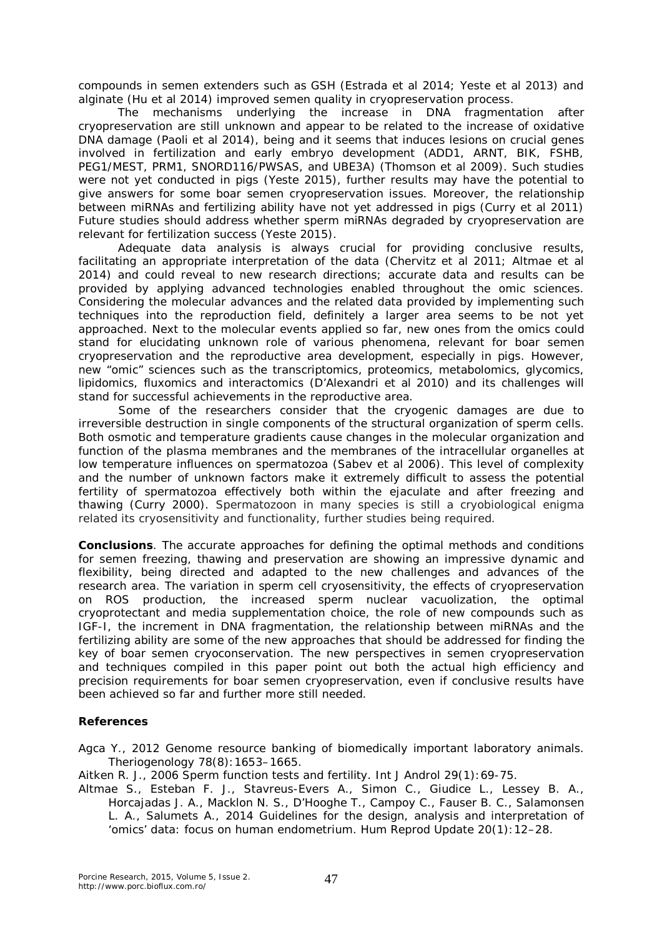compounds in semen extenders such as GSH (Estrada et al 2014; Yeste et al 2013) and alginate (Hu et al 2014) improved semen quality in cryopreservation process.

The mechanisms underlying the increase in DNA fragmentation after cryopreservation are still unknown and appear to be related to the increase of oxidative DNA damage (Paoli et al 2014), being and it seems that induces lesions on crucial genes involved in fertilization and early embryo development (ADD1, ARNT, BIK, FSHB, PEG1/MEST, PRM1, SNORD116/PWSAS, and UBE3A) (Thomson et al 2009). Such studies were not yet conducted in pigs (Yeste 2015), further results may have the potential to give answers for some boar semen cryopreservation issues. Moreover, the relationship between miRNAs and fertilizing ability have not yet addressed in pigs (Curry et al 2011) Future studies should address whether sperm miRNAs degraded by cryopreservation are relevant for fertilization success (Yeste 2015).

Adequate data analysis is always crucial for providing conclusive results, facilitating an appropriate interpretation of the data (Chervitz et al 2011; Altmae et al 2014) and could reveal to new research directions; accurate data and results can be provided by applying advanced technologies enabled throughout the omic sciences. Considering the molecular advances and the related data provided by implementing such techniques into the reproduction field, definitely a larger area seems to be not yet approached. Next to the molecular events applied so far, new ones from the omics could stand for elucidating unknown role of various phenomena, relevant for boar semen cryopreservation and the reproductive area development, especially in pigs. However, new "omic" sciences such as the transcriptomics, proteomics, metabolomics, glycomics, lipidomics, fluxomics and interactomics (D'Alexandri et al 2010) and its challenges will stand for successful achievements in the reproductive area.

Some of the researchers consider that the cryogenic damages are due to irreversible destruction in single components of the structural organization of sperm cells. Both osmotic and temperature gradients cause changes in the molecular organization and function of the plasma membranes and the membranes of the intracellular organelles at low temperature influences on spermatozoa (Sabev et al 2006). This level of complexity and the number of unknown factors make it extremely difficult to assess the potential fertility of spermatozoa effectively both within the ejaculate and after freezing and thawing (Curry 2000). Spermatozoon in many species is still a cryobiological enigma related its cryosensitivity and functionality, further studies being required.

**Conclusions**. The accurate approaches for defining the optimal methods and conditions for semen freezing, thawing and preservation are showing an impressive dynamic and flexibility, being directed and adapted to the new challenges and advances of the research area. The variation in sperm cell cryosensitivity, the effects of cryopreservation on ROS production, the increased sperm nuclear vacuolization, the optimal cryoprotectant and media supplementation choice, the role of new compounds such as IGF-I, the increment in DNA fragmentation, the relationship between miRNAs and the fertilizing ability are some of the new approaches that should be addressed for finding the key of boar semen cryoconservation. The new perspectives in semen cryopreservation and techniques compiled in this paper point out both the actual high efficiency and precision requirements for boar semen cryopreservation, even if conclusive results have been achieved so far and further more still needed.

## **References**

Agca Y., 2012 Genome resource banking of biomedically important laboratory animals. Theriogenology 78(8):1653–1665.

Aitken R. J., 2006 Sperm function tests and fertility. Int J Androl 29(1):69-75.

Altmae S., Esteban F. J., Stavreus-Evers A., Simon C., Giudice L., Lessey B. A., Horcajadas J. A., Macklon N. S., D'Hooghe T., Campoy C., Fauser B. C., Salamonsen L. A., Salumets A., 2014 Guidelines for the design, analysis and interpretation of 'omics' data: focus on human endometrium. Hum Reprod Update 20(1):12–28.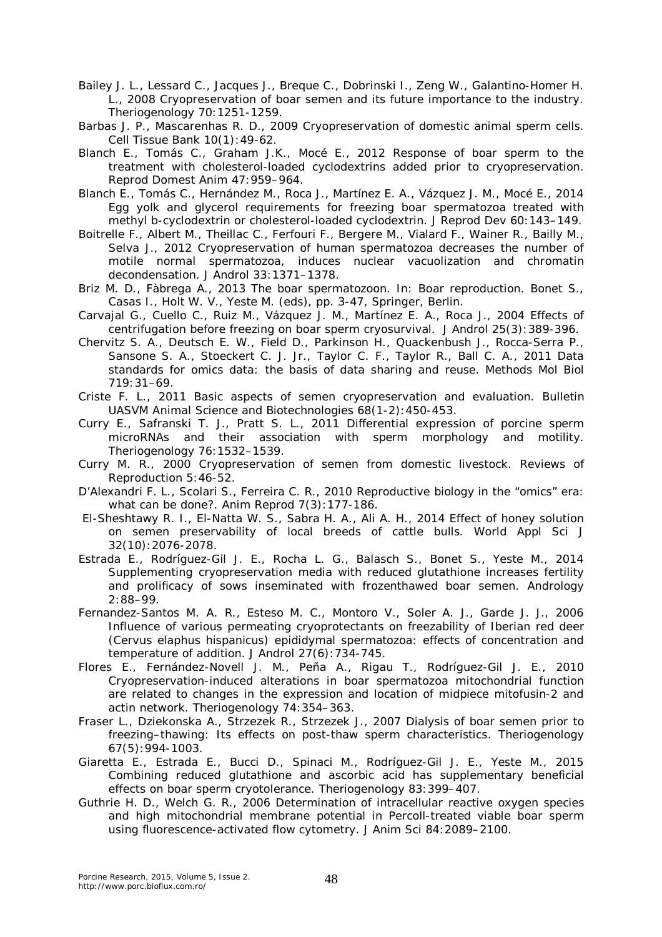- Bailey J. L., Lessard C., Jacques J., Breque C., Dobrinski I., Zeng W., Galantino-Homer H. L., 2008 Cryopreservation of boar semen and its future importance to the industry. Theriogenology 70:1251-1259.
- Barbas J. P., Mascarenhas R. D., 2009 Cryopreservation of domestic animal sperm cells. Cell Tissue Bank 10(1):49-62.
- Blanch E., Tomás C., Graham J.K., Mocé E., 2012 Response of boar sperm to the treatment with cholesterol-loaded cyclodextrins added prior to cryopreservation. Reprod Domest Anim 47:959–964.
- Blanch E., Tomás C., Hernández M., Roca J., Martínez E. A., Vázquez J. M., Mocé E., 2014 Egg yolk and glycerol requirements for freezing boar spermatozoa treated with methyl b-cyclodextrin or cholesterol-loaded cyclodextrin. J Reprod Dev 60:143–149.
- Boitrelle F., Albert M., Theillac C., Ferfouri F., Bergere M., Vialard F., Wainer R., Bailly M., Selva J., 2012 Cryopreservation of human spermatozoa decreases the number of motile normal spermatozoa, induces nuclear vacuolization and chromatin decondensation. J Androl 33:1371–1378.
- Briz M. D., Fàbrega A., 2013 The boar spermatozoon. In: Boar reproduction. Bonet S., Casas I., Holt W. V., Yeste M. (eds), pp. 3-47, Springer, Berlin.
- Carvajal G., Cuello C., Ruiz M., Vázquez J. M., Martínez E. A., Roca J., 2004 Effects of centrifugation before freezing on boar sperm cryosurvival. J Androl 25(3):389-396.
- Chervitz S. A., Deutsch E. W., Field D., Parkinson H., Quackenbush J., Rocca-Serra P., Sansone S. A., Stoeckert C. J. Jr., Taylor C. F., Taylor R., Ball C. A., 2011 Data standards for omics data: the basis of data sharing and reuse. Methods Mol Biol 719:31–69.
- Criste F. L., 2011 Basic aspects of semen cryopreservation and evaluation. Bulletin UASVM Animal Science and Biotechnologies 68(1-2):450-453.
- Curry E., Safranski T. J., Pratt S. L., 2011 Differential expression of porcine sperm microRNAs and their association with sperm morphology and motility. Theriogenology 76:1532–1539.
- Curry M. R., 2000 Cryopreservation of semen from domestic livestock. Reviews of Reproduction 5:46-52.
- D'Alexandri F. L., Scolari S., Ferreira C. R., 2010 Reproductive biology in the "omics" era: what can be done?. Anim Reprod 7(3): 177-186.
- El-Sheshtawy R. I., El-Natta W. S., Sabra H. A., Ali A. H., 2014 Effect of honey solution on semen preservability of local breeds of cattle bulls. World Appl Sci J 32(10):2076-2078.
- Estrada E., Rodríguez-Gil J. E., Rocha L. G., Balasch S., Bonet S., Yeste M., 2014 Supplementing cryopreservation media with reduced glutathione increases fertility and prolificacy of sows inseminated with frozenthawed boar semen. Andrology 2:88–99.
- Fernandez-Santos M. A. R., Esteso M. C., Montoro V., Soler A. J., Garde J. J., 2006 Influence of various permeating cryoprotectants on freezability of Iberian red deer (*Cervus elaphus hispanicus*) epididymal spermatozoa: effects of concentration and temperature of addition. J Androl 27(6):734-745.
- Flores E., Fernández-Novell J. M., Peña A., Rigau T., Rodríguez-Gil J. E., 2010 Cryopreservation-induced alterations in boar spermatozoa mitochondrial function are related to changes in the expression and location of midpiece mitofusin-2 and actin network. Theriogenology 74:354–363.
- Fraser L., Dziekonska A., Strzezek R., Strzezek J., 2007 Dialysis of boar semen prior to freezing–thawing: Its effects on post-thaw sperm characteristics. Theriogenology 67(5):994-1003.
- Giaretta E., Estrada E., Bucci D., Spinaci M., Rodríguez-Gil J. E., Yeste M., 2015 Combining reduced glutathione and ascorbic acid has supplementary beneficial effects on boar sperm cryotolerance. Theriogenology 83:399–407.
- Guthrie H. D., Welch G. R., 2006 Determination of intracellular reactive oxygen species and high mitochondrial membrane potential in Percoll-treated viable boar sperm using fluorescence-activated flow cytometry. J Anim Sci 84:2089–2100.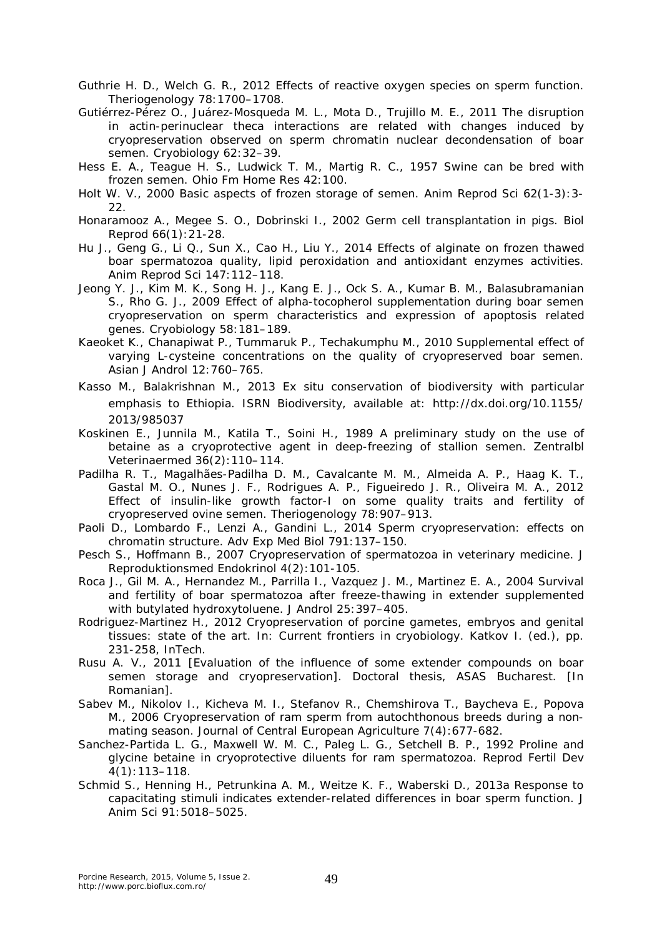Guthrie H. D., Welch G. R., 2012 Effects of reactive oxygen species on sperm function. Theriogenology 78:1700–1708.

- Gutiérrez-Pérez O., Juárez-Mosqueda M. L., Mota D., Trujillo M. E., 2011 The disruption in actin-perinuclear theca interactions are related with changes induced by cryopreservation observed on sperm chromatin nuclear decondensation of boar semen. Cryobiology 62:32–39.
- Hess E. A., Teague H. S., Ludwick T. M., Martig R. C., 1957 Swine can be bred with frozen semen. Ohio Fm Home Res 42:100.
- Holt W. V., 2000 Basic aspects of frozen storage of semen. Anim Reprod Sci 62(1-3):3- 22.
- Honaramooz A., Megee S. O., Dobrinski I., 2002 Germ cell transplantation in pigs. Biol Reprod 66(1):21-28.
- Hu J., Geng G., Li Q., Sun X., Cao H., Liu Y., 2014 Effects of alginate on frozen thawed boar spermatozoa quality, lipid peroxidation and antioxidant enzymes activities. Anim Reprod Sci 147:112–118.
- Jeong Y. J., Kim M. K., Song H. J., Kang E. J., Ock S. A., Kumar B. M., Balasubramanian S., Rho G. J., 2009 Effect of alpha-tocopherol supplementation during boar semen cryopreservation on sperm characteristics and expression of apoptosis related genes. Cryobiology 58:181–189.
- Kaeoket K., Chanapiwat P., Tummaruk P., Techakumphu M., 2010 Supplemental effect of varying L-cysteine concentrations on the quality of cryopreserved boar semen. Asian J Androl 12:760–765.
- Kasso M., Balakrishnan M., 2013 *Ex situ* conservation of biodiversity with particular emphasis to Ethiopia. ISRN Biodiversity, available at: http://dx.doi.org/10.1155/ 2013/985037
- Koskinen E., Junnila M., Katila T., Soini H., 1989 A preliminary study on the use of betaine as a cryoprotective agent in deep-freezing of stallion semen. Zentralbl Veterinaermed 36(2):110–114.
- Padilha R. T., Magalhães-Padilha D. M., Cavalcante M. M., Almeida A. P., Haag K. T., Gastal M. O., Nunes J. F., Rodrigues A. P., Figueiredo J. R., Oliveira M. A., 2012 Effect of insulin-like growth factor-I on some quality traits and fertility of cryopreserved ovine semen. Theriogenology 78:907–913.
- Paoli D., Lombardo F., Lenzi A., Gandini L., 2014 Sperm cryopreservation: effects on chromatin structure. Adv Exp Med Biol 791:137–150.
- Pesch S., Hoffmann B., 2007 Cryopreservation of spermatozoa in veterinary medicine. J Reproduktionsmed Endokrinol 4(2):101-105.
- Roca J., Gil M. A., Hernandez M., Parrilla I., Vazquez J. M., Martinez E. A., 2004 Survival and fertility of boar spermatozoa after freeze-thawing in extender supplemented with butylated hydroxytoluene. J Androl 25:397–405.
- Rodriguez-Martinez H., 2012 Cryopreservation of porcine gametes, embryos and genital tissues: state of the art. In: Current frontiers in cryobiology. Katkov I. (ed.), pp. 231-258, InTech.
- Rusu A. V., 2011 [Evaluation of the influence of some extender compounds on boar semen storage and cryopreservation]. Doctoral thesis, ASAS Bucharest. [In Romanian].
- Sabev M., Nikolov I., Kicheva M. I., Stefanov R., Chemshirova T., Baycheva E., Popova M., 2006 Cryopreservation of ram sperm from autochthonous breeds during a nonmating season. Journal of Central European Agriculture 7(4):677-682.
- Sanchez-Partida L. G., Maxwell W. M. C., Paleg L. G., Setchell B. P., 1992 Proline and glycine betaine in cryoprotective diluents for ram spermatozoa. Reprod Fertil Dev 4(1):113–118.
- Schmid S., Henning H., Petrunkina A. M., Weitze K. F., Waberski D., 2013a Response to capacitating stimuli indicates extender-related differences in boar sperm function. J Anim Sci 91:5018–5025.